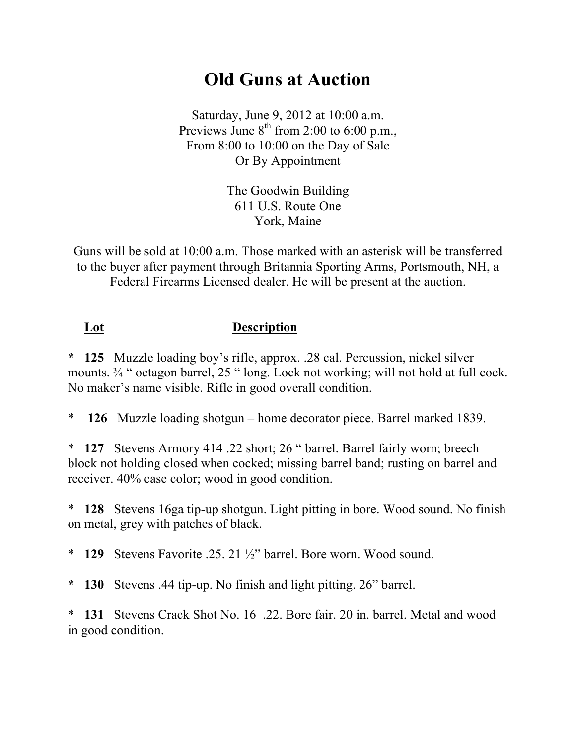## **Old Guns at Auction**

Saturday, June 9, 2012 at 10:00 a.m. Previews June  $8^{th}$  from 2:00 to 6:00 p.m., From 8:00 to 10:00 on the Day of Sale Or By Appointment

> The Goodwin Building 611 U.S. Route One York, Maine

Guns will be sold at 10:00 a.m. Those marked with an asterisk will be transferred to the buyer after payment through Britannia Sporting Arms, Portsmouth, NH, a Federal Firearms Licensed dealer. He will be present at the auction.

## **Lot Description**

**\* 125** Muzzle loading boy's rifle, approx. .28 cal. Percussion, nickel silver mounts.  $\frac{3}{4}$  " octagon barrel, 25 " long. Lock not working; will not hold at full cock. No maker's name visible. Rifle in good overall condition.

\* **126** Muzzle loading shotgun – home decorator piece. Barrel marked 1839.

\* **127** Stevens Armory 414 .22 short; 26 " barrel. Barrel fairly worn; breech block not holding closed when cocked; missing barrel band; rusting on barrel and receiver. 40% case color; wood in good condition.

\* **128** Stevens 16ga tip-up shotgun. Light pitting in bore. Wood sound. No finish on metal, grey with patches of black.

\* **129** Stevens Favorite .25. 21 ½" barrel. Bore worn. Wood sound.

**\* 130** Stevens .44 tip-up. No finish and light pitting. 26" barrel.

\* **131** Stevens Crack Shot No. 16 .22. Bore fair. 20 in. barrel. Metal and wood in good condition.